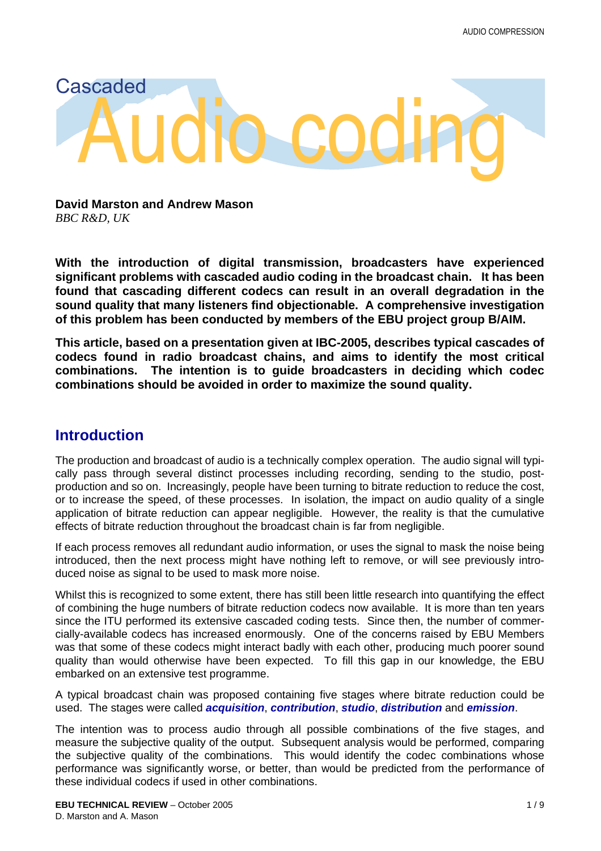# Audio coding Cascaded

**David Marston and Andrew Mason** *BBC R&D, UK*

**With the introduction of digital transmission, broadcasters have experienced significant problems with cascaded audio coding in the broadcast chain. It has been found that cascading different codecs can result in an overall degradation in the sound quality that many listeners find objectionable. A comprehensive investigation of this problem has been conducted by members of the EBU project group B/AIM.**

**This article, based on a presentation given at IBC-2005, describes typical cascades of codecs found in radio broadcast chains, and aims to identify the most critical combinations. The intention is to guide broadcasters in deciding which codec combinations should be avoided in order to maximize the sound quality.**

## **Introduction**

The production and broadcast of audio is a technically complex operation. The audio signal will typically pass through several distinct processes including recording, sending to the studio, postproduction and so on. Increasingly, people have been turning to bitrate reduction to reduce the cost, or to increase the speed, of these processes. In isolation, the impact on audio quality of a single application of bitrate reduction can appear negligible. However, the reality is that the cumulative effects of bitrate reduction throughout the broadcast chain is far from negligible.

If each process removes all redundant audio information, or uses the signal to mask the noise being introduced, then the next process might have nothing left to remove, or will see previously introduced noise as signal to be used to mask more noise.

Whilst this is recognized to some extent, there has still been little research into quantifying the effect of combining the huge numbers of bitrate reduction codecs now available. It is more than ten years since the ITU performed its extensive cascaded coding tests. Since then, the number of commercially-available codecs has increased enormously. One of the concerns raised by EBU Members was that some of these codecs might interact badly with each other, producing much poorer sound quality than would otherwise have been expected. To fill this gap in our knowledge, the EBU embarked on an extensive test programme.

A typical broadcast chain was proposed containing five stages where bitrate reduction could be used. The stages were called *acquisition*, *contribution*, *studio*, *distribution* and *emission*.

The intention was to process audio through all possible combinations of the five stages, and measure the subjective quality of the output. Subsequent analysis would be performed, comparing the subjective quality of the combinations. This would identify the codec combinations whose performance was significantly worse, or better, than would be predicted from the performance of these individual codecs if used in other combinations.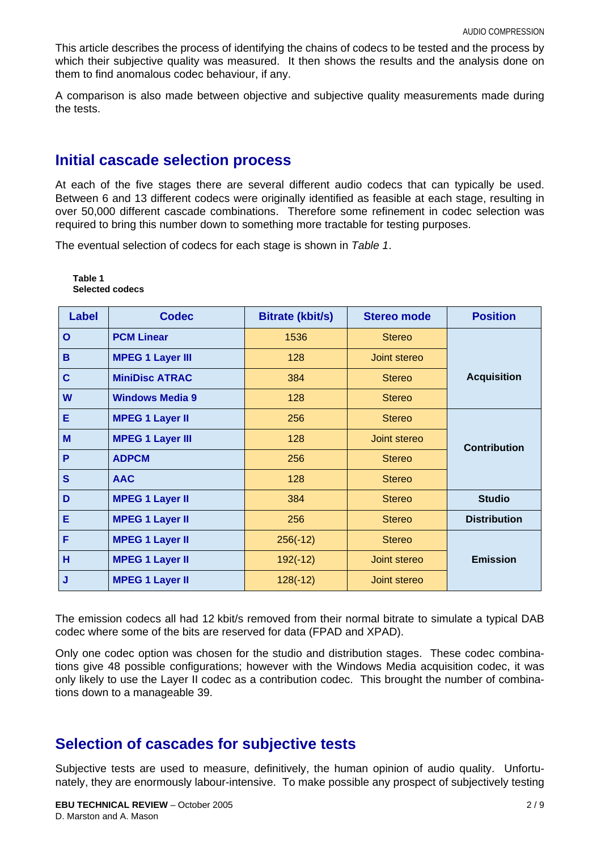This article describes the process of identifying the chains of codecs to be tested and the process by which their subjective quality was measured. It then shows the results and the analysis done on them to find anomalous codec behaviour, if any.

A comparison is also made between objective and subjective quality measurements made during the tests.

## **Initial cascade selection process**

At each of the five stages there are several different audio codecs that can typically be used. Between 6 and 13 different codecs were originally identified as feasible at each stage, resulting in over 50,000 different cascade combinations. Therefore some refinement in codec selection was required to bring this number down to something more tractable for testing purposes.

The eventual selection of codecs for each stage is shown in *Table 1*.

| <b>Label</b> | <b>Codec</b>            | <b>Bitrate (kbit/s)</b> | <b>Stereo mode</b> | <b>Position</b>     |
|--------------|-------------------------|-------------------------|--------------------|---------------------|
| $\mathbf{O}$ | <b>PCM Linear</b>       | 1536                    | <b>Stereo</b>      |                     |
| B            | <b>MPEG 1 Layer III</b> | 128                     | Joint stereo       |                     |
| $\mathbf C$  | <b>MiniDisc ATRAC</b>   | 384                     | <b>Stereo</b>      | <b>Acquisition</b>  |
| W            | <b>Windows Media 9</b>  | 128                     | <b>Stereo</b>      |                     |
| Е            | <b>MPEG 1 Layer II</b>  | 256                     | <b>Stereo</b>      |                     |
| M            | <b>MPEG 1 Layer III</b> | 128                     | Joint stereo       | <b>Contribution</b> |
| P            | <b>ADPCM</b>            | 256                     | <b>Stereo</b>      |                     |
| S            | <b>AAC</b>              | 128                     | <b>Stereo</b>      |                     |
| D            | <b>MPEG 1 Layer II</b>  | 384                     | <b>Stereo</b>      | <b>Studio</b>       |
| Е            | <b>MPEG 1 Layer II</b>  | 256                     | <b>Stereo</b>      | <b>Distribution</b> |
| F            | <b>MPEG 1 Layer II</b>  | $256(-12)$              | <b>Stereo</b>      |                     |
| H            | <b>MPEG 1 Layer II</b>  | $192(-12)$              | Joint stereo       | <b>Emission</b>     |
| J            | <b>MPEG 1 Layer II</b>  | $128(-12)$              | Joint stereo       |                     |

**Table 1 Selected codecs**

The emission codecs all had 12 kbit/s removed from their normal bitrate to simulate a typical DAB codec where some of the bits are reserved for data (FPAD and XPAD).

Only one codec option was chosen for the studio and distribution stages. These codec combinations give 48 possible configurations; however with the Windows Media acquisition codec, it was only likely to use the Layer II codec as a contribution codec. This brought the number of combinations down to a manageable 39.

## **Selection of cascades for subjective tests**

Subjective tests are used to measure, definitively, the human opinion of audio quality. Unfortunately, they are enormously labour-intensive. To make possible any prospect of subjectively testing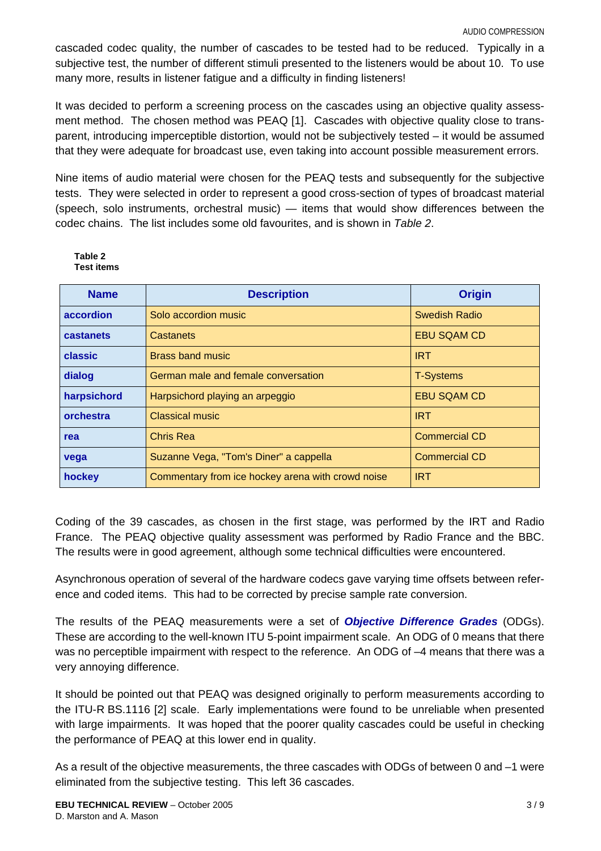cascaded codec quality, the number of cascades to be tested had to be reduced. Typically in a subjective test, the number of different stimuli presented to the listeners would be about 10. To use many more, results in listener fatigue and a difficulty in finding listeners!

It was decided to perform a screening process on the cascades using an objective quality assessment method. The chosen method was PEAQ [\[1\].](#page-7-1) Cascades with objective quality close to transparent, introducing imperceptible distortion, would not be subjectively tested – it would be assumed that they were adequate for broadcast use, even taking into account possible measurement errors.

Nine items of audio material were chosen for the PEAQ tests and subsequently for the subjective tests. They were selected in order to represent a good cross-section of types of broadcast material (speech, solo instruments, orchestral music) — items that would show differences between the codec chains. The list includes some old favourites, and is shown in *Table 2*.

#### **Table 2 Test items**

| <b>Name</b> | <b>Description</b>                                | <b>Origin</b>        |
|-------------|---------------------------------------------------|----------------------|
| accordion   | Solo accordion music                              | Swedish Radio        |
| castanets   | Castanets                                         | <b>EBU SQAM CD</b>   |
| classic     | <b>Brass band music</b>                           | <b>IRT</b>           |
| dialog      | German male and female conversation               | <b>T-Systems</b>     |
| harpsichord | Harpsichord playing an arpeggio                   | <b>EBU SQAM CD</b>   |
| orchestra   | <b>Classical music</b>                            | <b>IRT</b>           |
| rea         | <b>Chris Rea</b>                                  | <b>Commercial CD</b> |
| vega        | Suzanne Vega, "Tom's Diner" a cappella            | <b>Commercial CD</b> |
| hockey      | Commentary from ice hockey arena with crowd noise | <b>IRT</b>           |

Coding of the 39 cascades, as chosen in the first stage, was performed by the IRT and Radio France. The PEAQ objective quality assessment was performed by Radio France and the BBC. The results were in good agreement, although some technical difficulties were encountered.

Asynchronous operation of several of the hardware codecs gave varying time offsets between reference and coded items. This had to be corrected by precise sample rate conversion.

The results of the PEAQ measurements were a set of *Objective Difference Grades* (ODGs). These are according to the well-known ITU 5-point impairment scale. An ODG of 0 means that there was no perceptible impairment with respect to the reference. An ODG of -4 means that there was a very annoying difference.

It should be pointed out that PEAQ was designed originally to perform measurements according to the ITU-R BS.1116 [\[2\]](#page-7-0) scale. Early implementations were found to be unreliable when presented with large impairments. It was hoped that the poorer quality cascades could be useful in checking the performance of PEAQ at this lower end in quality.

As a result of the objective measurements, the three cascades with ODGs of between 0 and –1 were eliminated from the subjective testing. This left 36 cascades.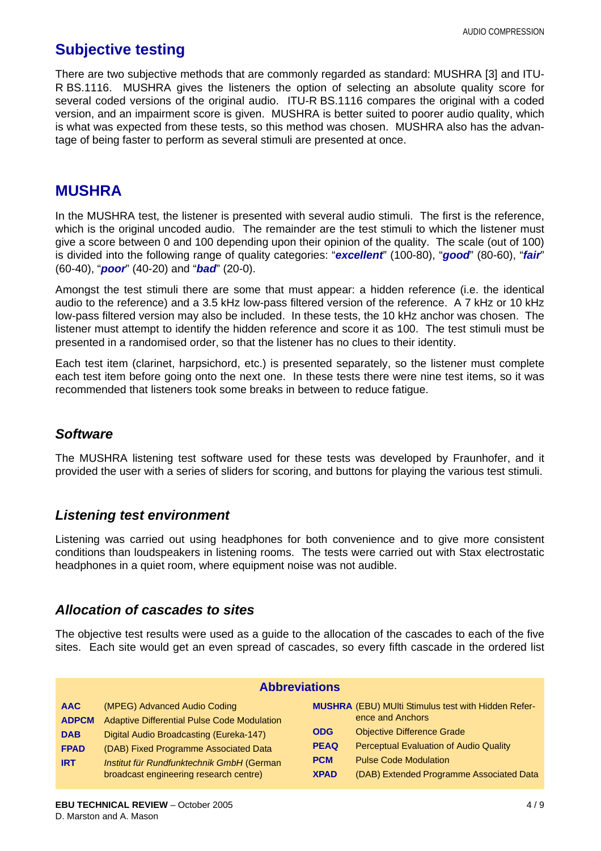## **Subjective testing**

There are two subjective methods that are commonly regarded as standard: MUSHRA [3] and ITU-R BS.1116. MUSHRA gives the listeners the option of selecting an absolute quality score for several coded versions of the original audio. ITU-R BS.1116 compares the original with a coded version, and an impairment score is given. MUSHRA is better suited to poorer audio quality, which is what was expected from these tests, so this method was chosen. MUSHRA also has the advantage of being faster to perform as several stimuli are presented at once.

## **MUSHRA**

In the MUSHRA test, the listener is presented with several audio stimuli. The first is the reference, which is the original uncoded audio. The remainder are the test stimuli to which the listener must give a score between 0 and 100 depending upon their opinion of the quality. The scale (out of 100) is divided into the following range of quality categories: "*excellent*" (100-80), "*good*" (80-60), "*fair*" (60-40), "*poor*" (40-20) and "*bad*" (20-0).

Amongst the test stimuli there are some that must appear: a hidden reference (i.e. the identical audio to the reference) and a 3.5 kHz low-pass filtered version of the reference. A 7 kHz or 10 kHz low-pass filtered version may also be included. In these tests, the 10 kHz anchor was chosen. The listener must attempt to identify the hidden reference and score it as 100. The test stimuli must be presented in a randomised order, so that the listener has no clues to their identity.

Each test item (clarinet, harpsichord, etc.) is presented separately, so the listener must complete each test item before going onto the next one. In these tests there were nine test items, so it was recommended that listeners took some breaks in between to reduce fatigue.

### *Software*

The MUSHRA listening test software used for these tests was developed by Fraunhofer, and it provided the user with a series of sliders for scoring, and buttons for playing the various test stimuli.

#### *Listening test environment*

Listening was carried out using headphones for both convenience and to give more consistent conditions than loudspeakers in listening rooms. The tests were carried out with Stax electrostatic headphones in a quiet room, where equipment noise was not audible.

#### *Allocation of cascades to sites*

The objective test results were used as a guide to the allocation of the cascades to each of the five sites. Each site would get an even spread of cascades, so every fifth cascade in the ordered list

| <b>Abbreviations</b> |                                             |             |                                                            |  |  |  |  |
|----------------------|---------------------------------------------|-------------|------------------------------------------------------------|--|--|--|--|
| <b>AAC</b>           | (MPEG) Advanced Audio Coding                |             | <b>MUSHRA</b> (EBU) MUlti Stimulus test with Hidden Refer- |  |  |  |  |
| <b>ADPCM</b>         | Adaptive Differential Pulse Code Modulation |             | ence and Anchors                                           |  |  |  |  |
| <b>DAB</b>           | Digital Audio Broadcasting (Eureka-147)     | <b>ODG</b>  | <b>Objective Difference Grade</b>                          |  |  |  |  |
| <b>FPAD</b>          | (DAB) Fixed Programme Associated Data       | <b>PEAQ</b> | <b>Perceptual Evaluation of Audio Quality</b>              |  |  |  |  |
| <b>IRT</b>           | Institut für Rundfunktechnik GmbH (German   | <b>PCM</b>  | <b>Pulse Code Modulation</b>                               |  |  |  |  |
|                      | broadcast engineering research centre)      | <b>XPAD</b> | (DAB) Extended Programme Associated Data                   |  |  |  |  |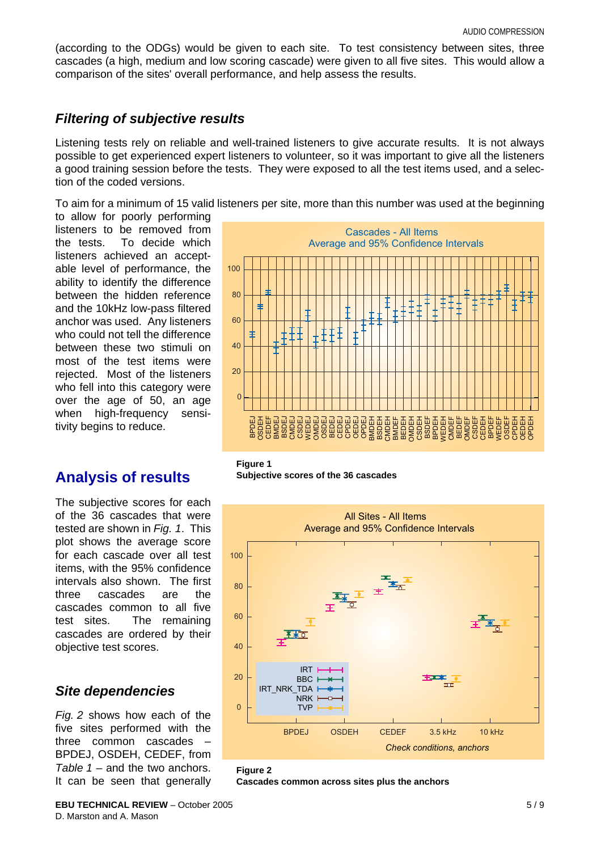(according to the ODGs) would be given to each site. To test consistency between sites, three cascades (a high, medium and low scoring cascade) were given to all five sites. This would allow a comparison of the sites' overall performance, and help assess the results.

#### *Filtering of subjective results*

Listening tests rely on reliable and well-trained listeners to give accurate results. It is not always possible to get experienced expert listeners to volunteer, so it was important to give all the listeners a good training session before the tests. They were exposed to all the test items used, and a selection of the coded versions.

To aim for a minimum of 15 valid listeners per site, more than this number was used at the beginning

to allow for poorly performing listeners to be removed from the tests. To decide which listeners achieved an acceptable level of performance, the ability to identify the difference between the hidden reference and the 10kHz low-pass filtered anchor was used. Any listeners who could not tell the difference between these two stimuli on most of the test items were rejected. Most of the listeners who fell into this category were over the age of 50, an age when high-frequency sensitivity begins to reduce.

## **Analysis of results**

The subjective scores for each of the 36 cascades that were tested are shown in *Fig. 1*. This plot shows the average score for each cascade over all test items, with the 95% confidence intervals also shown. The first three cascades are the cascades common to all five test sites. The remaining cascades are ordered by their objective test scores.

#### *Site dependencies*

*Fig. 2* shows how each of the five sites performed with the three common cascades – BPDEJ, OSDEH, CEDEF, from *Table 1* – and the two anchors. It can be seen that generally



**Figure 1 Subjective scores of the 36 cascades**



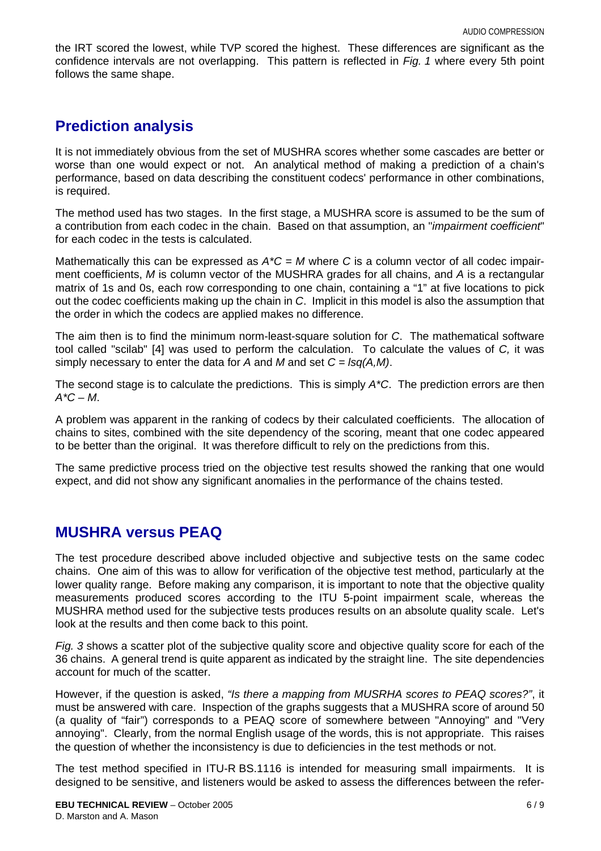the IRT scored the lowest, while TVP scored the highest. These differences are significant as the confidence intervals are not overlapping. This pattern is reflected in *Fig. 1* where every 5th point follows the same shape.

## **Prediction analysis**

It is not immediately obvious from the set of MUSHRA scores whether some cascades are better or worse than one would expect or not. An analytical method of making a prediction of a chain's performance, based on data describing the constituent codecs' performance in other combinations, is required.

The method used has two stages. In the first stage, a MUSHRA score is assumed to be the sum of a contribution from each codec in the chain. Based on that assumption, an "*impairment coefficient*" for each codec in the tests is calculated.

Mathematically this can be expressed as *A\*C = M* where *C* is a column vector of all codec impairment coefficients, *M* is column vector of the MUSHRA grades for all chains, and *A* is a rectangular matrix of 1s and 0s, each row corresponding to one chain, containing a "1" at five locations to pick out the codec coefficients making up the chain in *C*. Implicit in this model is also the assumption that the order in which the codecs are applied makes no difference.

The aim then is to find the minimum norm-least-square solution for *C*. The mathematical software tool called "scilab" [\[4\]](#page-8-0) was used to perform the calculation. To calculate the values of *C,* it was simply necessary to enter the data for *A* and *M* and set *C = lsq(A,M)*.

The second stage is to calculate the predictions. This is simply *A\*C*. The prediction errors are then *A\*C – M*.

A problem was apparent in the ranking of codecs by their calculated coefficients. The allocation of chains to sites, combined with the site dependency of the scoring, meant that one codec appeared to be better than the original. It was therefore difficult to rely on the predictions from this.

The same predictive process tried on the objective test results showed the ranking that one would expect, and did not show any significant anomalies in the performance of the chains tested.

## **MUSHRA versus PEAQ**

The test procedure described above included objective and subjective tests on the same codec chains. One aim of this was to allow for verification of the objective test method, particularly at the lower quality range. Before making any comparison, it is important to note that the objective quality measurements produced scores according to the ITU 5-point impairment scale, whereas the MUSHRA method used for the subjective tests produces results on an absolute quality scale. Let's look at the results and then come back to this point.

*Fig. 3* shows a scatter plot of the subjective quality score and objective quality score for each of the 36 chains. A general trend is quite apparent as indicated by the straight line. The site dependencies account for much of the scatter.

However, if the question is asked, *"Is there a mapping from MUSRHA scores to PEAQ scores?"*, it must be answered with care. Inspection of the graphs suggests that a MUSHRA score of around 50 (a quality of "fair") corresponds to a PEAQ score of somewhere between "Annoying" and "Very annoying". Clearly, from the normal English usage of the words, this is not appropriate. This raises the question of whether the inconsistency is due to deficiencies in the test methods or not.

The test method specified in ITU-R BS.1116 is intended for measuring small impairments. It is designed to be sensitive, and listeners would be asked to assess the differences between the refer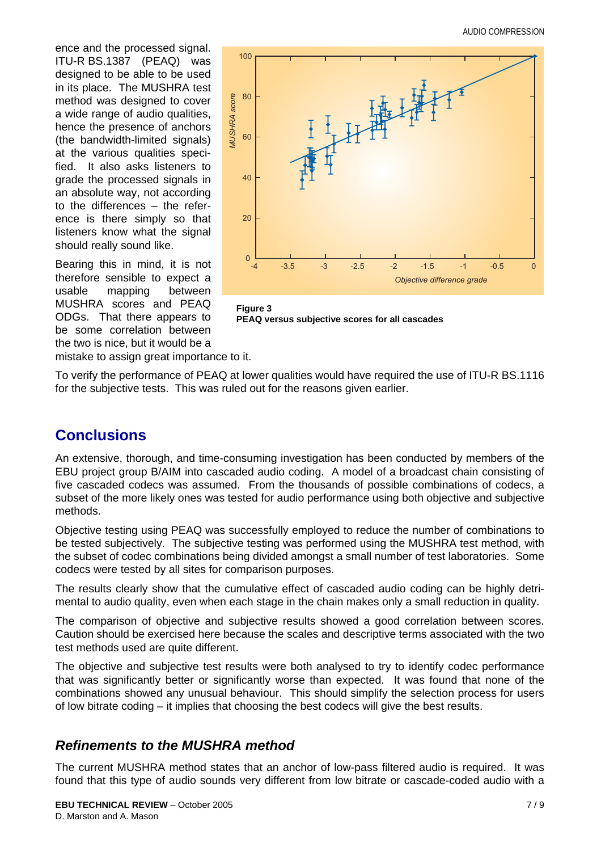ence and the processed signal. ITU-R BS.1387 (PEAQ) was designed to be able to be used in its place. The MUSHRA test method was designed to cover a wide range of audio qualities, hence the presence of anchors (the bandwidth-limited signals) at the various qualities specified. It also asks listeners to grade the processed signals in an absolute way, not according to the differences – the reference is there simply so that listeners know what the signal should really sound like.

Bearing this in mind, it is not therefore sensible to expect a usable mapping between MUSHRA scores and PEAQ ODGs. That there appears to be some correlation between the two is nice, but it would be a



**Figure 3 PEAQ versus subjective scores for all cascades**

mistake to assign great importance to it.

To verify the performance of PEAQ at lower qualities would have required the use of ITU-R BS.1116 for the subjective tests. This was ruled out for the reasons given earlier.

## **Conclusions**

An extensive, thorough, and time-consuming investigation has been conducted by members of the EBU project group B/AIM into cascaded audio coding. A model of a broadcast chain consisting of five cascaded codecs was assumed. From the thousands of possible combinations of codecs, a subset of the more likely ones was tested for audio performance using both objective and subjective methods.

Objective testing using PEAQ was successfully employed to reduce the number of combinations to be tested subjectively. The subjective testing was performed using the MUSHRA test method, with the subset of codec combinations being divided amongst a small number of test laboratories. Some codecs were tested by all sites for comparison purposes.

The results clearly show that the cumulative effect of cascaded audio coding can be highly detrimental to audio quality, even when each stage in the chain makes only a small reduction in quality.

The comparison of objective and subjective results showed a good correlation between scores. Caution should be exercised here because the scales and descriptive terms associated with the two test methods used are quite different.

The objective and subjective test results were both analysed to try to identify codec performance that was significantly better or significantly worse than expected. It was found that none of the combinations showed any unusual behaviour. This should simplify the selection process for users of low bitrate coding – it implies that choosing the best codecs will give the best results.

#### *Refinements to the MUSHRA method*

The current MUSHRA method states that an anchor of low-pass filtered audio is required. It was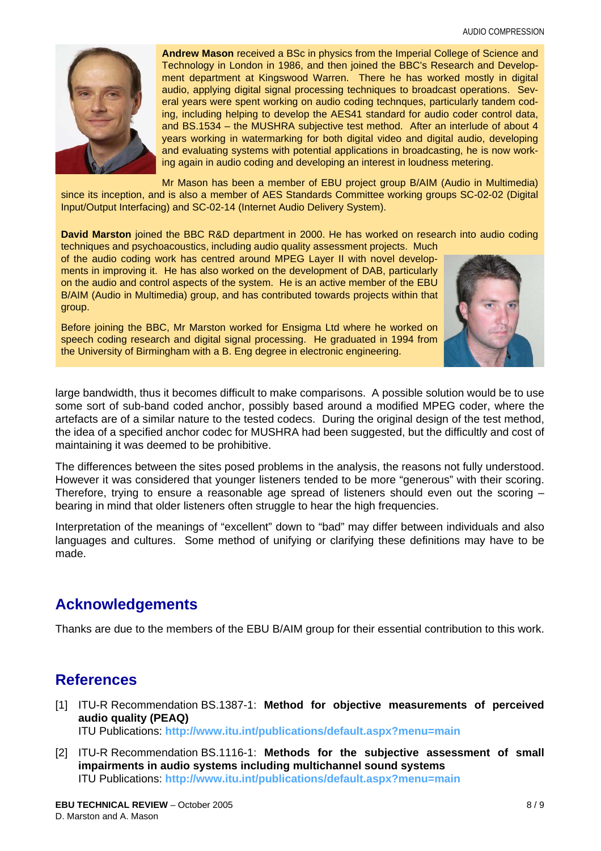

**Andrew Mason** received a BSc in physics from the Imperial College of Science and Technology in London in 1986, and then joined the BBC's Research and Development department at Kingswood Warren. There he has worked mostly in digital audio, applying digital signal processing techniques to broadcast operations. Several years were spent working on audio coding technques, particularly tandem coding, including helping to develop the AES41 standard for audio coder control data, and BS.1534 – the MUSHRA subjective test method. After an interlude of about 4 years working in watermarking for both digital video and digital audio, developing and evaluating systems with potential applications in broadcasting, he is now working again in audio coding and developing an interest in loudness metering.

Mr Mason has been a member of EBU project group B/AIM (Audio in Multimedia) since its inception, and is also a member of AES Standards Committee working groups SC-02-02 (Digital Input/Output Interfacing) and SC-02-14 (Internet Audio Delivery System).

**David Marston** joined the BBC R&D department in 2000. He has worked on research into audio coding

techniques and psychoacoustics, including audio quality assessment projects. Much of the audio coding work has centred around MPEG Layer II with novel developments in improving it. He has also worked on the development of DAB, particularly on the audio and control aspects of the system. He is an active member of the EBU B/AIM (Audio in Multimedia) group, and has contributed towards projects within that group.

Before joining the BBC, Mr Marston worked for Ensigma Ltd where he worked on speech coding research and digital signal processing. He graduated in 1994 from the University of Birmingham with a B. Eng degree in electronic engineering.



large bandwidth, thus it becomes difficult to make comparisons. A possible solution would be to use some sort of sub-band coded anchor, possibly based around a modified MPEG coder, where the artefacts are of a similar nature to the tested codecs. During the original design of the test method, the idea of a specified anchor codec for MUSHRA had been suggested, but the difficultly and cost of maintaining it was deemed to be prohibitive.

The differences between the sites posed problems in the analysis, the reasons not fully understood. However it was considered that younger listeners tended to be more "generous" with their scoring. Therefore, trying to ensure a reasonable age spread of listeners should even out the scoring  $$ bearing in mind that older listeners often struggle to hear the high frequencies.

Interpretation of the meanings of "excellent" down to "bad" may differ between individuals and also languages and cultures. Some method of unifying or clarifying these definitions may have to be made.

## **Acknowledgements**

Thanks are due to the members of the EBU B/AIM group for their essential contribution to this work.

## **References**

<span id="page-7-1"></span>[1] ITU-R Recommendation BS.1387-1: **Method for objective measurements of perceived audio quality (PEAQ)**

ITU Publications: **<http://www.itu.int/publications/default.aspx?menu=main>**

<span id="page-7-0"></span>[2] ITU-R Recommendation BS.1116-1: **Methods for the subjective assessment of small impairments in audio systems including multichannel sound systems** ITU Publications: **<http://www.itu.int/publications/default.aspx?menu=main>**